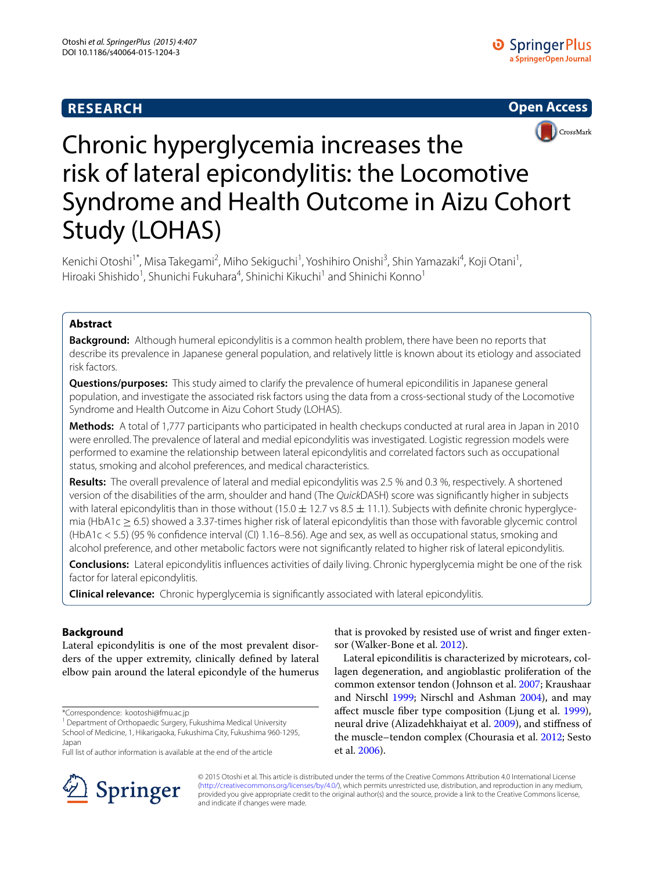# **RESEARCH**





# Chronic hyperglycemia increases the risk of lateral epicondylitis: the Locomotive Syndrome and Health Outcome in Aizu Cohort Study (LOHAS)

Kenichi Otoshi<sup>1\*</sup>, Misa Takegami<sup>2</sup>, Miho Sekiguchi<sup>1</sup>, Yoshihiro Onishi<sup>3</sup>, Shin Yamazaki<sup>4</sup>, Koji Otani<sup>1</sup>, Hiroaki Shishido<sup>1</sup>, Shunichi Fukuhara<sup>4</sup>, Shinichi Kikuchi<sup>1</sup> and Shinichi Konno<sup>1</sup>

## **Abstract**

**Background:** Although humeral epicondylitis is a common health problem, there have been no reports that describe its prevalence in Japanese general population, and relatively little is known about its etiology and associated risk factors.

**Questions/purposes:** This study aimed to clarify the prevalence of humeral epicondilitis in Japanese general population, and investigate the associated risk factors using the data from a cross-sectional study of the Locomotive Syndrome and Health Outcome in Aizu Cohort Study (LOHAS).

**Methods:** A total of 1,777 participants who participated in health checkups conducted at rural area in Japan in 2010 were enrolled. The prevalence of lateral and medial epicondylitis was investigated. Logistic regression models were performed to examine the relationship between lateral epicondylitis and correlated factors such as occupational status, smoking and alcohol preferences, and medical characteristics.

**Results:** The overall prevalence of lateral and medial epicondylitis was 2.5 % and 0.3 %, respectively. A shortened version of the disabilities of the arm, shoulder and hand (The *Quick*DASH) score was significantly higher in subjects with lateral epicondylitis than in those without (15.0  $\pm$  12.7 vs 8.5  $\pm$  11.1). Subjects with definite chronic hyperglycemia (HbA1c  $> 6.5$ ) showed a 3.37-times higher risk of lateral epicondylitis than those with favorable glycemic control (HbA1c < 5.5) (95 % confidence interval (CI) 1.16–8.56). Age and sex, as well as occupational status, smoking and alcohol preference, and other metabolic factors were not significantly related to higher risk of lateral epicondylitis.

**Conclusions:** Lateral epicondylitis influences activities of daily living. Chronic hyperglycemia might be one of the risk factor for lateral epicondylitis.

**Clinical relevance:** Chronic hyperglycemia is significantly associated with lateral epicondylitis.

## **Background**

Lateral epicondylitis is one of the most prevalent disorders of the upper extremity, clinically defined by lateral elbow pain around the lateral epicondyle of the humerus

\*Correspondence: kootoshi@fmu.ac.jp

<sup>1</sup> Department of Orthopaedic Surgery, Fukushima Medical University School of Medicine, 1, Hikarigaoka, Fukushima City, Fukushima 960-1295, Japan

Full list of author information is available at the end of the article



that is provoked by resisted use of wrist and finger extensor (Walker-Bone et al. [2012\)](#page-8-0).

Lateral epicondilitis is characterized by microtears, collagen degeneration, and angioblastic proliferation of the common extensor tendon (Johnson et al. [2007](#page-8-1); Kraushaar and Nirschl [1999](#page-8-2); Nirschl and Ashman [2004](#page-8-3)), and may affect muscle fiber type composition (Ljung et al. [1999](#page-8-4)), neural drive (Alizadehkhaiyat et al. [2009\)](#page-7-0), and stiffness of the muscle–tendon complex (Chourasia et al. [2012](#page-8-5); Sesto et al. [2006](#page-8-6)).

© 2015 Otoshi et al. This article is distributed under the terms of the Creative Commons Attribution 4.0 International License [\(http://creativecommons.org/licenses/by/4.0/\)](http://creativecommons.org/licenses/by/4.0/), which permits unrestricted use, distribution, and reproduction in any medium, provided you give appropriate credit to the original author(s) and the source, provide a link to the Creative Commons license, and indicate if changes were made.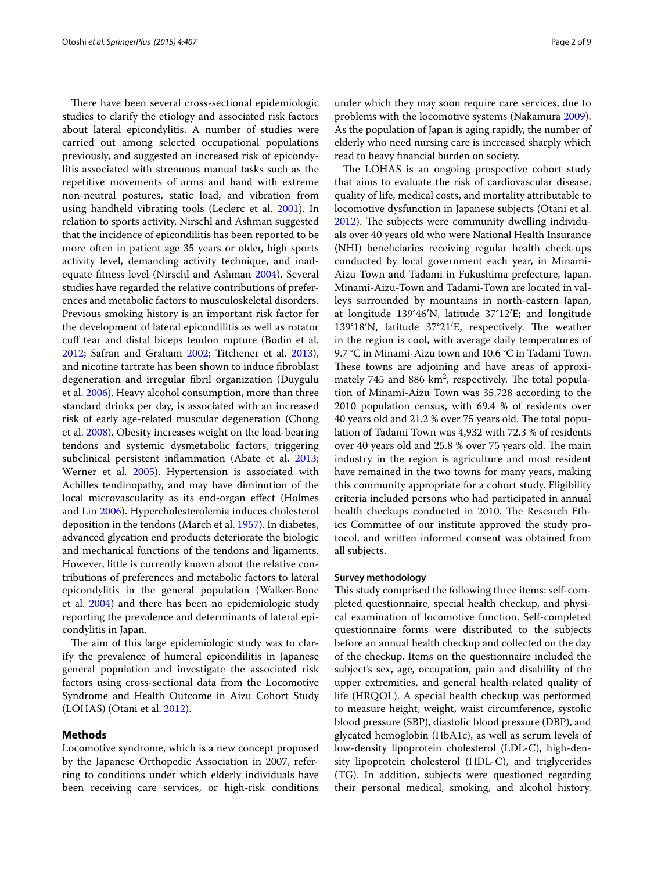There have been several cross-sectional epidemiologic studies to clarify the etiology and associated risk factors about lateral epicondylitis. A number of studies were carried out among selected occupational populations previously, and suggested an increased risk of epicondylitis associated with strenuous manual tasks such as the repetitive movements of arms and hand with extreme non-neutral postures, static load, and vibration from using handheld vibrating tools (Leclerc et al. [2001](#page-8-7)). In relation to sports activity, Nirschl and Ashman suggested that the incidence of epicondilitis has been reported to be more often in patient age 35 years or older, high sports activity level, demanding activity technique, and inadequate fitness level (Nirschl and Ashman [2004](#page-8-3)). Several studies have regarded the relative contributions of preferences and metabolic factors to musculoskeletal disorders. Previous smoking history is an important risk factor for the development of lateral epicondilitis as well as rotator cuff tear and distal biceps tendon rupture (Bodin et al. [2012](#page-7-1); Safran and Graham [2002;](#page-8-8) Titchener et al. [2013](#page-8-9)), and nicotine tartrate has been shown to induce fibroblast degeneration and irregular fibril organization (Duygulu et al. [2006](#page-8-10)). Heavy alcohol consumption, more than three standard drinks per day, is associated with an increased risk of early age-related muscular degeneration (Chong et al. [2008](#page-7-2)). Obesity increases weight on the load-bearing tendons and systemic dysmetabolic factors, triggering subclinical persistent inflammation (Abate et al. [2013](#page-7-3); Werner et al. [2005\)](#page-8-11). Hypertension is associated with Achilles tendinopathy, and may have diminution of the local microvascularity as its end-organ effect (Holmes and Lin [2006\)](#page-8-12). Hypercholesterolemia induces cholesterol deposition in the tendons (March et al. [1957\)](#page-8-13). In diabetes, advanced glycation end products deteriorate the biologic and mechanical functions of the tendons and ligaments. However, little is currently known about the relative contributions of preferences and metabolic factors to lateral epicondylitis in the general population (Walker-Bone et al. [2004\)](#page-8-14) and there has been no epidemiologic study reporting the prevalence and determinants of lateral epicondylitis in Japan.

The aim of this large epidemiologic study was to clarify the prevalence of humeral epicondilitis in Japanese general population and investigate the associated risk factors using cross-sectional data from the Locomotive Syndrome and Health Outcome in Aizu Cohort Study (LOHAS) (Otani et al. [2012\)](#page-8-15).

#### **Methods**

Locomotive syndrome, which is a new concept proposed by the Japanese Orthopedic Association in 2007, referring to conditions under which elderly individuals have been receiving care services, or high-risk conditions

under which they may soon require care services, due to problems with the locomotive systems (Nakamura [2009](#page-8-16)). As the population of Japan is aging rapidly, the number of elderly who need nursing care is increased sharply which read to heavy financial burden on society.

The LOHAS is an ongoing prospective cohort study that aims to evaluate the risk of cardiovascular disease, quality of life, medical costs, and mortality attributable to locomotive dysfunction in Japanese subjects (Otani et al. [2012](#page-8-15)). The subjects were community dwelling individuals over 40 years old who were National Health Insurance (NHI) beneficiaries receiving regular health check-ups conducted by local government each year, in Minami-Aizu Town and Tadami in Fukushima prefecture, Japan. Minami-Aizu-Town and Tadami-Town are located in valleys surrounded by mountains in north-eastern Japan, at longitude 139°46′N, latitude 37°12′E; and longitude 139°18′N, latitude 37°21′E, respectively. The weather in the region is cool, with average daily temperatures of 9.7 °C in Minami-Aizu town and 10.6 °C in Tadami Town. These towns are adjoining and have areas of approximately 745 and 886  $km^2$ , respectively. The total population of Minami-Aizu Town was 35,728 according to the 2010 population census, with 69.4 % of residents over 40 years old and 21.2 % over 75 years old. The total population of Tadami Town was 4,932 with 72.3 % of residents over 40 years old and 25.8 % over 75 years old. The main industry in the region is agriculture and most resident have remained in the two towns for many years, making this community appropriate for a cohort study. Eligibility criteria included persons who had participated in annual health checkups conducted in 2010. The Research Ethics Committee of our institute approved the study protocol, and written informed consent was obtained from all subjects.

#### **Survey methodology**

This study comprised the following three items: self-completed questionnaire, special health checkup, and physical examination of locomotive function. Self-completed questionnaire forms were distributed to the subjects before an annual health checkup and collected on the day of the checkup. Items on the questionnaire included the subject's sex, age, occupation, pain and disability of the upper extremities, and general health-related quality of life (HRQOL). A special health checkup was performed to measure height, weight, waist circumference, systolic blood pressure (SBP), diastolic blood pressure (DBP), and glycated hemoglobin (HbA1c), as well as serum levels of low-density lipoprotein cholesterol (LDL-C), high-density lipoprotein cholesterol (HDL-C), and triglycerides (TG). In addition, subjects were questioned regarding their personal medical, smoking, and alcohol history.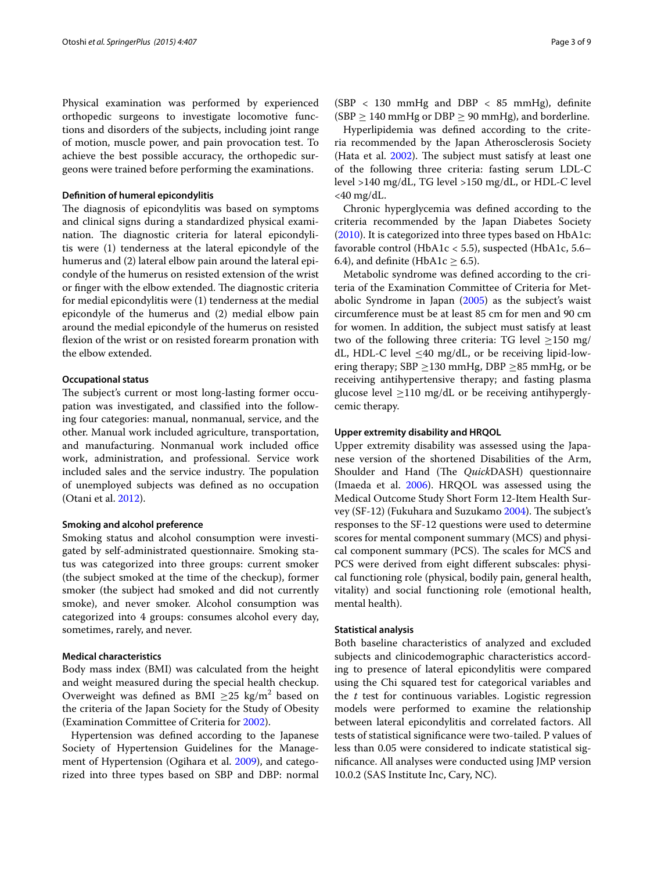Physical examination was performed by experienced orthopedic surgeons to investigate locomotive functions and disorders of the subjects, including joint range of motion, muscle power, and pain provocation test. To achieve the best possible accuracy, the orthopedic surgeons were trained before performing the examinations.

### **Definition of humeral epicondylitis**

The diagnosis of epicondylitis was based on symptoms and clinical signs during a standardized physical examination. The diagnostic criteria for lateral epicondylitis were (1) tenderness at the lateral epicondyle of the humerus and (2) lateral elbow pain around the lateral epicondyle of the humerus on resisted extension of the wrist or finger with the elbow extended. The diagnostic criteria for medial epicondylitis were (1) tenderness at the medial epicondyle of the humerus and (2) medial elbow pain around the medial epicondyle of the humerus on resisted flexion of the wrist or on resisted forearm pronation with the elbow extended.

#### **Occupational status**

The subject's current or most long-lasting former occupation was investigated, and classified into the following four categories: manual, nonmanual, service, and the other. Manual work included agriculture, transportation, and manufacturing. Nonmanual work included office work, administration, and professional. Service work included sales and the service industry. The population of unemployed subjects was defined as no occupation (Otani et al. [2012](#page-8-15)).

#### **Smoking and alcohol preference**

Smoking status and alcohol consumption were investigated by self-administrated questionnaire. Smoking status was categorized into three groups: current smoker (the subject smoked at the time of the checkup), former smoker (the subject had smoked and did not currently smoke), and never smoker. Alcohol consumption was categorized into 4 groups: consumes alcohol every day, sometimes, rarely, and never.

## **Medical characteristics**

Body mass index (BMI) was calculated from the height and weight measured during the special health checkup. Overweight was defined as  $\text{BMI } \geq 25 \text{ kg/m}^2$  based on the criteria of the Japan Society for the Study of Obesity (Examination Committee of Criteria for [2002](#page-8-17)).

Hypertension was defined according to the Japanese Society of Hypertension Guidelines for the Management of Hypertension (Ogihara et al. [2009\)](#page-8-18), and categorized into three types based on SBP and DBP: normal

(SBP  $<$  130 mmHg and DBP  $<$  85 mmHg), definite (SBP  $\geq$  140 mmHg or DBP  $\geq$  90 mmHg), and borderline.

Hyperlipidemia was defined according to the criteria recommended by the Japan Atherosclerosis Society (Hata et al. [2002](#page-8-19)). The subject must satisfy at least one of the following three criteria: fasting serum LDL-C level >140 mg/dL, TG level >150 mg/dL, or HDL-C level <40 mg/dL.

Chronic hyperglycemia was defined according to the criteria recommended by the Japan Diabetes Society ([2010\)](#page-8-20). It is categorized into three types based on HbA1c: favorable control (HbA1c < 5.5), suspected (HbA1c, 5.6– 6.4), and definite (HbA1c  $\geq$  6.5).

Metabolic syndrome was defined according to the criteria of the Examination Committee of Criteria for Metabolic Syndrome in Japan ([2005](#page-8-21)) as the subject's waist circumference must be at least 85 cm for men and 90 cm for women. In addition, the subject must satisfy at least two of the following three criteria: TG level  $\geq$ 150 mg/ dL, HDL-C level ≤40 mg/dL, or be receiving lipid-lowering therapy;  $SBP \ge 130$  mmHg, DBP  $\ge 85$  mmHg, or be receiving antihypertensive therapy; and fasting plasma glucose level  $\geq$ 110 mg/dL or be receiving antihyperglycemic therapy.

#### **Upper extremity disability and HRQOL**

Upper extremity disability was assessed using the Japanese version of the shortened Disabilities of the Arm, Shoulder and Hand (The *Quick*DASH) questionnaire (Imaeda et al. [2006](#page-8-22)). HRQOL was assessed using the Medical Outcome Study Short Form 12-Item Health Survey (SF-12) (Fukuhara and Suzukamo [2004\)](#page-8-23). The subject's responses to the SF-12 questions were used to determine scores for mental component summary (MCS) and physical component summary (PCS). The scales for MCS and PCS were derived from eight different subscales: physical functioning role (physical, bodily pain, general health, vitality) and social functioning role (emotional health, mental health).

## **Statistical analysis**

Both baseline characteristics of analyzed and excluded subjects and clinicodemographic characteristics according to presence of lateral epicondylitis were compared using the Chi squared test for categorical variables and the *t* test for continuous variables. Logistic regression models were performed to examine the relationship between lateral epicondylitis and correlated factors. All tests of statistical significance were two-tailed. P values of less than 0.05 were considered to indicate statistical significance. All analyses were conducted using JMP version 10.0.2 (SAS Institute Inc, Cary, NC).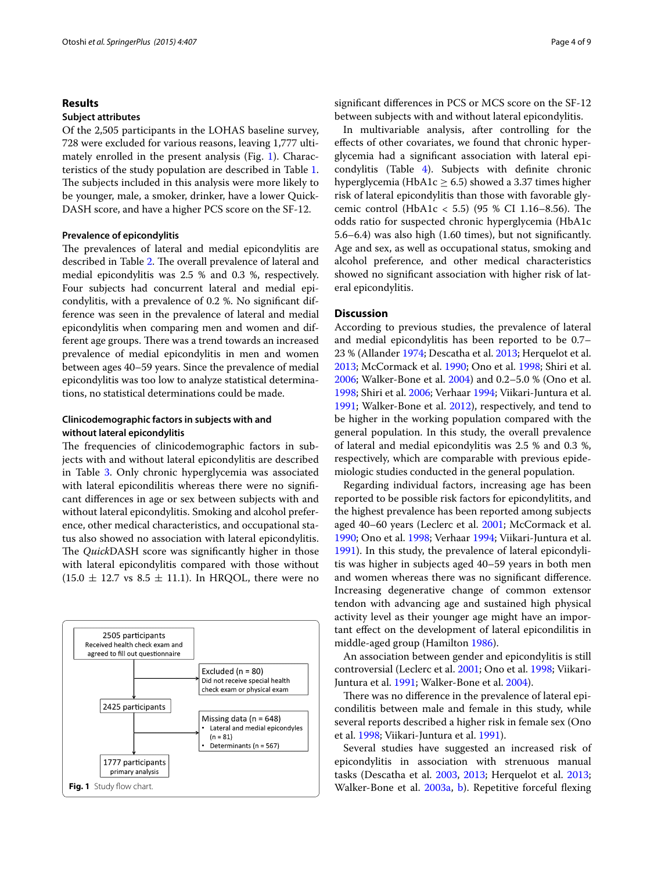#### **Results**

## **Subject attributes**

Of the 2,505 participants in the LOHAS baseline survey, 728 were excluded for various reasons, leaving 1,777 ultimately enrolled in the present analysis (Fig. [1\)](#page-3-0). Characteristics of the study population are described in Table [1](#page-4-0). The subjects included in this analysis were more likely to be younger, male, a smoker, drinker, have a lower Quick-DASH score, and have a higher PCS score on the SF-12.

#### **Prevalence of epicondylitis**

The prevalences of lateral and medial epicondylitis are described in Table [2.](#page-5-0) The overall prevalence of lateral and medial epicondylitis was 2.5 % and 0.3 %, respectively. Four subjects had concurrent lateral and medial epicondylitis, with a prevalence of 0.2 %. No significant difference was seen in the prevalence of lateral and medial epicondylitis when comparing men and women and different age groups. There was a trend towards an increased prevalence of medial epicondylitis in men and women between ages 40–59 years. Since the prevalence of medial epicondylitis was too low to analyze statistical determinations, no statistical determinations could be made.

## **Clinicodemographic factors in subjects with and without lateral epicondylitis**

The frequencies of clinicodemographic factors in subjects with and without lateral epicondylitis are described in Table [3.](#page-6-0) Only chronic hyperglycemia was associated with lateral epicondilitis whereas there were no significant differences in age or sex between subjects with and without lateral epicondylitis. Smoking and alcohol preference, other medical characteristics, and occupational status also showed no association with lateral epicondylitis. The *Quick*DASH score was significantly higher in those with lateral epicondylitis compared with those without  $(15.0 \pm 12.7 \text{ vs } 8.5 \pm 11.1)$ . In HRQOL, there were no

<span id="page-3-0"></span>

significant differences in PCS or MCS score on the SF-12 between subjects with and without lateral epicondylitis.

In multivariable analysis, after controlling for the effects of other covariates, we found that chronic hyperglycemia had a significant association with lateral epicondylitis (Table [4](#page-7-4)). Subjects with definite chronic hyperglycemia (HbA1c  $> 6.5$ ) showed a 3.37 times higher risk of lateral epicondylitis than those with favorable glycemic control (HbA1c < 5.5) (95 % CI 1.16–8.56). The odds ratio for suspected chronic hyperglycemia (HbA1c 5.6–6.4) was also high (1.60 times), but not significantly. Age and sex, as well as occupational status, smoking and alcohol preference, and other medical characteristics showed no significant association with higher risk of lateral epicondylitis.

## **Discussion**

According to previous studies, the prevalence of lateral and medial epicondylitis has been reported to be 0.7– 23 % (Allander [1974](#page-7-5); Descatha et al. [2013](#page-8-24); Herquelot et al. [2013](#page-8-25); McCormack et al. [1990;](#page-8-26) Ono et al. [1998](#page-8-27); Shiri et al. [2006](#page-8-28); Walker-Bone et al. [2004](#page-8-14)) and 0.2–5.0 % (Ono et al. [1998](#page-8-27); Shiri et al. [2006](#page-8-28); Verhaar [1994;](#page-8-29) Viikari-Juntura et al. [1991](#page-8-30); Walker-Bone et al. [2012](#page-8-0)), respectively, and tend to be higher in the working population compared with the general population. In this study, the overall prevalence of lateral and medial epicondylitis was 2.5 % and 0.3 %, respectively, which are comparable with previous epidemiologic studies conducted in the general population.

Regarding individual factors, increasing age has been reported to be possible risk factors for epicondylitits, and the highest prevalence has been reported among subjects aged 40–60 years (Leclerc et al. [2001;](#page-8-7) McCormack et al. [1990](#page-8-26); Ono et al. [1998](#page-8-27); Verhaar [1994](#page-8-29); Viikari-Juntura et al. [1991](#page-8-30)). In this study, the prevalence of lateral epicondylitis was higher in subjects aged 40–59 years in both men and women whereas there was no significant difference. Increasing degenerative change of common extensor tendon with advancing age and sustained high physical activity level as their younger age might have an important effect on the development of lateral epicondilitis in middle-aged group (Hamilton [1986\)](#page-8-31).

An association between gender and epicondylitis is still controversial (Leclerc et al. [2001;](#page-8-7) Ono et al. [1998](#page-8-27); Viikari-Juntura et al. [1991;](#page-8-30) Walker-Bone et al. [2004\)](#page-8-14).

There was no difference in the prevalence of lateral epicondilitis between male and female in this study, while several reports described a higher risk in female sex (Ono et al. [1998](#page-8-27); Viikari-Juntura et al. [1991\)](#page-8-30).

Several studies have suggested an increased risk of epicondylitis in association with strenuous manual tasks (Descatha et al. [2003,](#page-8-32) [2013](#page-8-24); Herquelot et al. [2013](#page-8-25);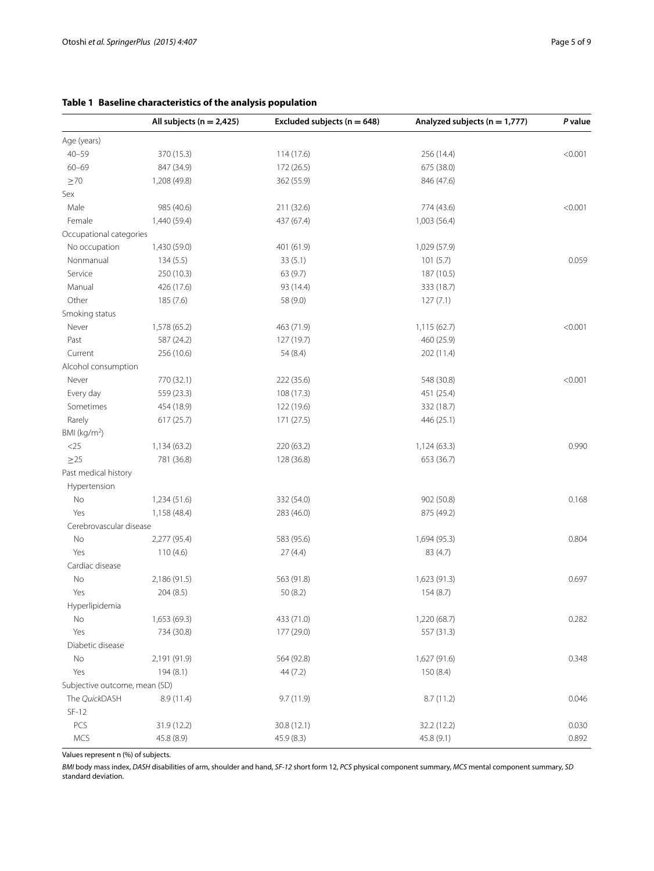## <span id="page-4-0"></span>**Table 1 Baseline characteristics of the analysis population**

|                               | All subjects ( $n = 2,425$ ) | Excluded subjects ( $n = 648$ ) | Analyzed subjects ( $n = 1,777$ ) | P value |
|-------------------------------|------------------------------|---------------------------------|-----------------------------------|---------|
| Age (years)                   |                              |                                 |                                   |         |
| $40 - 59$                     | 370 (15.3)                   | 114(17.6)                       | 256 (14.4)                        | < 0.001 |
| $60 - 69$                     | 847 (34.9)                   | 172 (26.5)                      | 675 (38.0)                        |         |
| $\geq 70$                     | 1,208 (49.8)                 | 362 (55.9)                      | 846 (47.6)                        |         |
| Sex                           |                              |                                 |                                   |         |
| Male                          | 985 (40.6)                   | 211 (32.6)                      | 774 (43.6)                        | < 0.001 |
| Female                        | 1,440 (59.4)                 | 437 (67.4)                      | 1,003 (56.4)                      |         |
| Occupational categories       |                              |                                 |                                   |         |
| No occupation                 | 1,430 (59.0)                 | 401 (61.9)                      | 1,029 (57.9)                      |         |
| Nonmanual                     | 134(5.5)                     | 33(5.1)                         | 101(5.7)                          | 0.059   |
| Service                       | 250 (10.3)                   | 63 (9.7)                        | 187 (10.5)                        |         |
| Manual                        | 426 (17.6)                   | 93 (14.4)                       | 333 (18.7)                        |         |
| Other                         | 185 (7.6)                    | 58 (9.0)                        | 127(7.1)                          |         |
| Smoking status                |                              |                                 |                                   |         |
| Never                         | 1,578 (65.2)                 | 463 (71.9)                      | 1,115 (62.7)                      | < 0.001 |
| Past                          | 587 (24.2)                   | 127 (19.7)                      | 460 (25.9)                        |         |
| Current                       | 256 (10.6)                   | 54 (8.4)                        | 202 (11.4)                        |         |
| Alcohol consumption           |                              |                                 |                                   |         |
| Never                         | 770 (32.1)                   | 222 (35.6)                      | 548 (30.8)                        | < 0.001 |
| Every day                     | 559 (23.3)                   | 108 (17.3)                      | 451 (25.4)                        |         |
| Sometimes                     | 454 (18.9)                   | 122 (19.6)                      | 332 (18.7)                        |         |
| Rarely                        | 617 (25.7)                   | 171 (27.5)                      | 446 (25.1)                        |         |
| BMI ( $kg/m2$ )               |                              |                                 |                                   |         |
| $<25$                         | 1,134 (63.2)                 | 220 (63.2)                      | 1,124(63.3)                       | 0.990   |
| $\geq$ 25                     | 781 (36.8)                   | 128 (36.8)                      | 653 (36.7)                        |         |
| Past medical history          |                              |                                 |                                   |         |
| Hypertension                  |                              |                                 |                                   |         |
| No                            | 1,234(51.6)                  | 332 (54.0)                      | 902 (50.8)                        | 0.168   |
| Yes                           | 1,158 (48.4)                 | 283 (46.0)                      | 875 (49.2)                        |         |
| Cerebrovascular disease       |                              |                                 |                                   |         |
| No                            | 2,277 (95.4)                 | 583 (95.6)                      | 1,694 (95.3)                      | 0.804   |
| Yes                           | 110(4.6)                     | 27(4.4)                         | 83 (4.7)                          |         |
| Cardiac disease               |                              |                                 |                                   |         |
| No                            | 2,186 (91.5)                 | 563 (91.8)                      | 1,623 (91.3)                      | 0.697   |
| Yes                           | 204(8.5)                     | 50 (8.2)                        | 154(8.7)                          |         |
| Hyperlipidemia                |                              |                                 |                                   |         |
| No                            | 1,653 (69.3)                 | 433 (71.0)                      | 1,220 (68.7)                      | 0.282   |
| Yes                           | 734 (30.8)                   | 177 (29.0)                      | 557 (31.3)                        |         |
| Diabetic disease              |                              |                                 |                                   |         |
| No                            | 2,191 (91.9)                 | 564 (92.8)                      | 1,627 (91.6)                      | 0.348   |
| Yes                           | 194(8.1)                     | 44(7.2)                         | 150 (8.4)                         |         |
| Subjective outcome, mean (SD) |                              |                                 |                                   |         |
| The QuickDASH                 | 8.9 (11.4)                   | 9.7(11.9)                       | 8.7(11.2)                         | 0.046   |
| $SF-12$                       |                              |                                 |                                   |         |
| PCS                           | 31.9 (12.2)                  | 30.8 (12.1)                     | 32.2 (12.2)                       | 0.030   |
| MCS                           | 45.8 (8.9)                   | 45.9 (8.3)                      | 45.8 (9.1)                        | 0.892   |

Values represent n (%) of subjects.

*BMI* body mass index, *DASH* disabilities of arm, shoulder and hand, *SF-12* short form 12, *PCS* physical component summary, *MCS* mental component summary, *SD* standard deviation.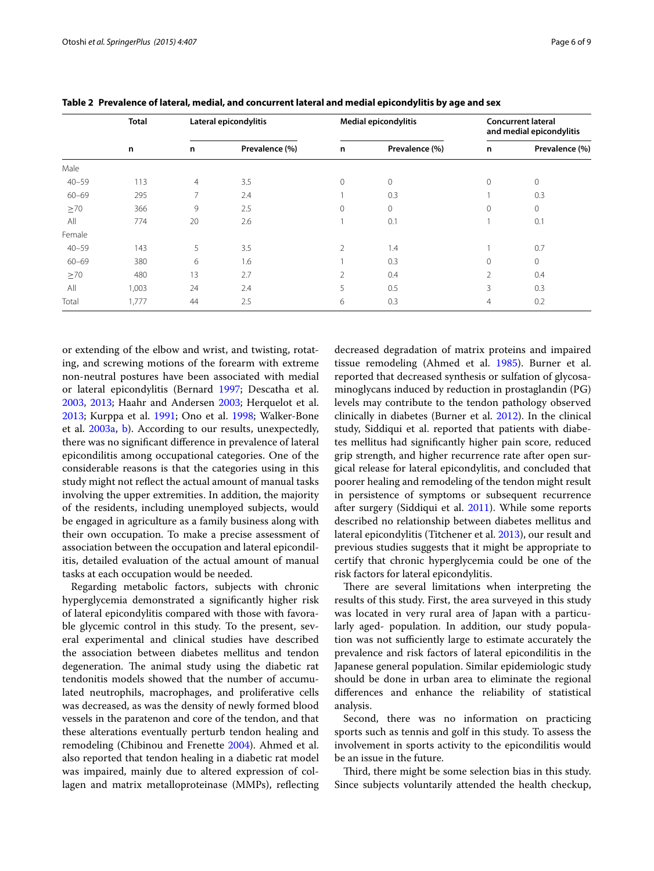|           | <b>Total</b> |                | Lateral epicondylitis | Medial epicondylitis |                | <b>Concurrent lateral</b><br>and medial epicondylitis |                |
|-----------|--------------|----------------|-----------------------|----------------------|----------------|-------------------------------------------------------|----------------|
|           | n            | n              | Prevalence (%)        | n                    | Prevalence (%) | n                                                     | Prevalence (%) |
| Male      |              |                |                       |                      |                |                                                       |                |
| $40 - 59$ | 113          | $\overline{4}$ | 3.5                   | $\mathbf{0}$         | $\mathbf{0}$   | $\mathbf{0}$                                          | 0              |
| $60 - 69$ | 295          | $\overline{7}$ | 2.4                   |                      | 0.3            |                                                       | 0.3            |
| $\geq 70$ | 366          | 9              | 2.5                   | $\mathbf{0}$         | $\mathbf{0}$   | $\mathbf 0$                                           | 0              |
| All       | 774          | 20             | 2.6                   |                      | 0.1            |                                                       | 0.1            |
| Female    |              |                |                       |                      |                |                                                       |                |
| $40 - 59$ | 143          | 5              | 3.5                   | 2                    | 1.4            |                                                       | 0.7            |
| $60 - 69$ | 380          | 6              | 1.6                   |                      | 0.3            | $\Omega$                                              | $\Omega$       |
| $\geq 70$ | 480          | 13             | 2.7                   | $\overline{2}$       | 0.4            | $\overline{2}$                                        | 0.4            |
| All       | 1,003        | 24             | 2.4                   | 5                    | 0.5            | 3                                                     | 0.3            |
| Total     | 1,777        | 44             | 2.5                   | 6                    | 0.3            | $\overline{4}$                                        | 0.2            |

<span id="page-5-0"></span>**Table 2 Prevalence of lateral, medial, and concurrent lateral and medial epicondylitis by age and sex**

or extending of the elbow and wrist, and twisting, rotating, and screwing motions of the forearm with extreme non-neutral postures have been associated with medial or lateral epicondylitis (Bernard [1997;](#page-7-6) Descatha et al. [2003](#page-8-32), [2013;](#page-8-24) Haahr and Andersen [2003;](#page-8-35) Herquelot et al. [2013](#page-8-25); Kurppa et al. [1991;](#page-8-36) Ono et al. [1998;](#page-8-27) Walker-Bone et al. [2003a](#page-8-33), [b](#page-8-34)). According to our results, unexpectedly, there was no significant difference in prevalence of lateral epicondilitis among occupational categories. One of the considerable reasons is that the categories using in this study might not reflect the actual amount of manual tasks involving the upper extremities. In addition, the majority of the residents, including unemployed subjects, would be engaged in agriculture as a family business along with their own occupation. To make a precise assessment of association between the occupation and lateral epicondilitis, detailed evaluation of the actual amount of manual tasks at each occupation would be needed.

Regarding metabolic factors, subjects with chronic hyperglycemia demonstrated a significantly higher risk of lateral epicondylitis compared with those with favorable glycemic control in this study. To the present, several experimental and clinical studies have described the association between diabetes mellitus and tendon degeneration. The animal study using the diabetic rat tendonitis models showed that the number of accumulated neutrophils, macrophages, and proliferative cells was decreased, as was the density of newly formed blood vessels in the paratenon and core of the tendon, and that these alterations eventually perturb tendon healing and remodeling (Chibinou and Frenette [2004](#page-7-7)). Ahmed et al. also reported that tendon healing in a diabetic rat model was impaired, mainly due to altered expression of collagen and matrix metalloproteinase (MMPs), reflecting

decreased degradation of matrix proteins and impaired tissue remodeling (Ahmed et al. [1985\)](#page-7-8). Burner et al. reported that decreased synthesis or sulfation of glycosaminoglycans induced by reduction in prostaglandin (PG) levels may contribute to the tendon pathology observed clinically in diabetes (Burner et al. [2012\)](#page-7-9). In the clinical study, Siddiqui et al. reported that patients with diabetes mellitus had significantly higher pain score, reduced grip strength, and higher recurrence rate after open surgical release for lateral epicondylitis, and concluded that poorer healing and remodeling of the tendon might result in persistence of symptoms or subsequent recurrence after surgery (Siddiqui et al. [2011\)](#page-8-37). While some reports described no relationship between diabetes mellitus and lateral epicondylitis (Titchener et al. [2013\)](#page-8-9), our result and previous studies suggests that it might be appropriate to certify that chronic hyperglycemia could be one of the risk factors for lateral epicondylitis.

There are several limitations when interpreting the results of this study. First, the area surveyed in this study was located in very rural area of Japan with a particularly aged- population. In addition, our study population was not sufficiently large to estimate accurately the prevalence and risk factors of lateral epicondilitis in the Japanese general population. Similar epidemiologic study should be done in urban area to eliminate the regional differences and enhance the reliability of statistical analysis.

Second, there was no information on practicing sports such as tennis and golf in this study. To assess the involvement in sports activity to the epicondilitis would be an issue in the future.

Third, there might be some selection bias in this study. Since subjects voluntarily attended the health checkup,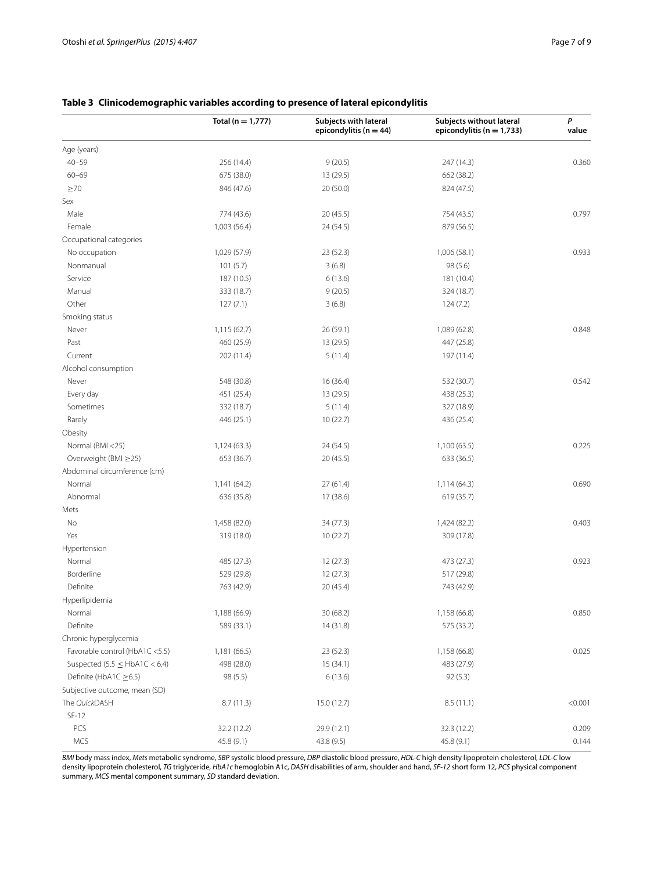|                                    | Total ( $n = 1,777$ ) | Subjects with lateral<br>epicondylitis ( $n = 44$ ) | Subjects without lateral<br>epicondylitis ( $n = 1,733$ ) | P<br>value |
|------------------------------------|-----------------------|-----------------------------------------------------|-----------------------------------------------------------|------------|
| Age (years)                        |                       |                                                     |                                                           |            |
| $40 - 59$                          | 256 (14.4)            | 9(20.5)                                             | 247 (14.3)                                                | 0.360      |
| $60 - 69$                          | 675 (38.0)            | 13 (29.5)                                           | 662 (38.2)                                                |            |
| $\geq 70$                          | 846 (47.6)            | 20(50.0)                                            | 824 (47.5)                                                |            |
| Sex                                |                       |                                                     |                                                           |            |
| Male                               | 774 (43.6)            | 20(45.5)                                            | 754 (43.5)                                                | 0.797      |
| Female                             | 1,003 (56.4)          | 24 (54.5)                                           | 879 (56.5)                                                |            |
| Occupational categories            |                       |                                                     |                                                           |            |
| No occupation                      | 1,029 (57.9)          | 23 (52.3)                                           | 1,006 (58.1)                                              | 0.933      |
| Nonmanual                          | 101(5.7)              | 3(6.8)                                              | 98 (5.6)                                                  |            |
| Service                            | 187 (10.5)            | 6(13.6)                                             | 181 (10.4)                                                |            |
| Manual                             | 333 (18.7)            | 9(20.5)                                             | 324 (18.7)                                                |            |
| Other                              | 127(7.1)              | 3(6.8)                                              | 124(7.2)                                                  |            |
| Smoking status                     |                       |                                                     |                                                           |            |
| Never                              | 1,115 (62.7)          | 26 (59.1)                                           | 1,089 (62.8)                                              | 0.848      |
| Past                               | 460 (25.9)            | 13 (29.5)                                           | 447 (25.8)                                                |            |
| Current                            | 202 (11.4)            | 5(11.4)                                             | 197 (11.4)                                                |            |
| Alcohol consumption                |                       |                                                     |                                                           |            |
| Never                              | 548 (30.8)            | 16 (36.4)                                           | 532 (30.7)                                                | 0.542      |
| Every day                          | 451 (25.4)            | 13 (29.5)                                           | 438 (25.3)                                                |            |
| Sometimes                          | 332 (18.7)            | 5(11.4)                                             | 327 (18.9)                                                |            |
| Rarely                             | 446 (25.1)            | 10(22.7)                                            | 436 (25.4)                                                |            |
| Obesity                            |                       |                                                     |                                                           |            |
| Normal (BMI <25)                   | 1,124 (63.3)          | 24 (54.5)                                           | 1,100 (63.5)                                              | 0.225      |
| Overweight (BMI ≥25)               | 653 (36.7)            | 20(45.5)                                            | 633 (36.5)                                                |            |
| Abdominal circumference (cm)       |                       |                                                     |                                                           |            |
| Normal                             | 1,141(64.2)           | 27(61.4)                                            | 1,114 (64.3)                                              | 0.690      |
| Abnormal                           | 636 (35.8)            | 17 (38.6)                                           | 619 (35.7)                                                |            |
| Mets                               |                       |                                                     |                                                           |            |
| No                                 | 1,458 (82.0)          | 34 (77.3)                                           | 1,424 (82.2)                                              | 0.403      |
| Yes                                | 319 (18.0)            | 10(22.7)                                            | 309 (17.8)                                                |            |
| Hypertension                       |                       |                                                     |                                                           |            |
| Normal                             | 485 (27.3)            | 12(27.3)                                            | 473 (27.3)                                                | 0.923      |
| Borderline                         | 529 (29.8)            | 12(27.3)                                            | 517 (29.8)                                                |            |
| Definite                           | 763 (42.9)            | 20 (45.4)                                           | 743 (42.9)                                                |            |
| Hyperlipidemia                     |                       |                                                     |                                                           |            |
| Normal                             | 1,188 (66.9)          | 30 (68.2)                                           | 1,158 (66.8)                                              | 0.850      |
| Definite                           | 589 (33.1)            | 14 (31.8)                                           | 575 (33.2)                                                |            |
| Chronic hyperglycemia              |                       |                                                     |                                                           |            |
| Favorable control (HbA1C <5.5)     | 1,181 (66.5)          | 23(52.3)                                            | 1,158 (66.8)                                              | 0.025      |
| Suspected $(5.5 \leq HbA1C < 6.4)$ | 498 (28.0)            | 15 (34.1)                                           | 483 (27.9)                                                |            |
| Definite (HbA1C $\geq$ 6.5)        | 98 (5.5)              | 6(13.6)                                             | 92(5.3)                                                   |            |
| Subjective outcome, mean (SD)      |                       |                                                     |                                                           |            |
| The QuickDASH                      | 8.7(11.3)             | 15.0 (12.7)                                         | 8.5(11.1)                                                 | < 0.001    |
| $SF-12$                            |                       |                                                     |                                                           |            |
| PCS                                | 32.2 (12.2)           | 29.9 (12.1)                                         | 32.3 (12.2)                                               | 0.209      |
| MCS                                | 45.8 (9.1)            | 43.8 (9.5)                                          | 45.8 (9.1)                                                | 0.144      |

## <span id="page-6-0"></span>**Table 3 Clinicodemographic variables according to presence of lateral epicondylitis**

*BMI* body mass index, *Mets* metabolic syndrome, *SBP* systolic blood pressure, *DBP* diastolic blood pressure, *HDL-C* high density lipoprotein cholesterol, *LDL-C* low density lipoprotein cholesterol, *TG* triglyceride, *HbA1c* hemoglobin A1c, *DASH* disabilities of arm, shoulder and hand, *SF-12* short form 12, *PCS* physical component summary, *MCS* mental component summary, *SD* standard deviation.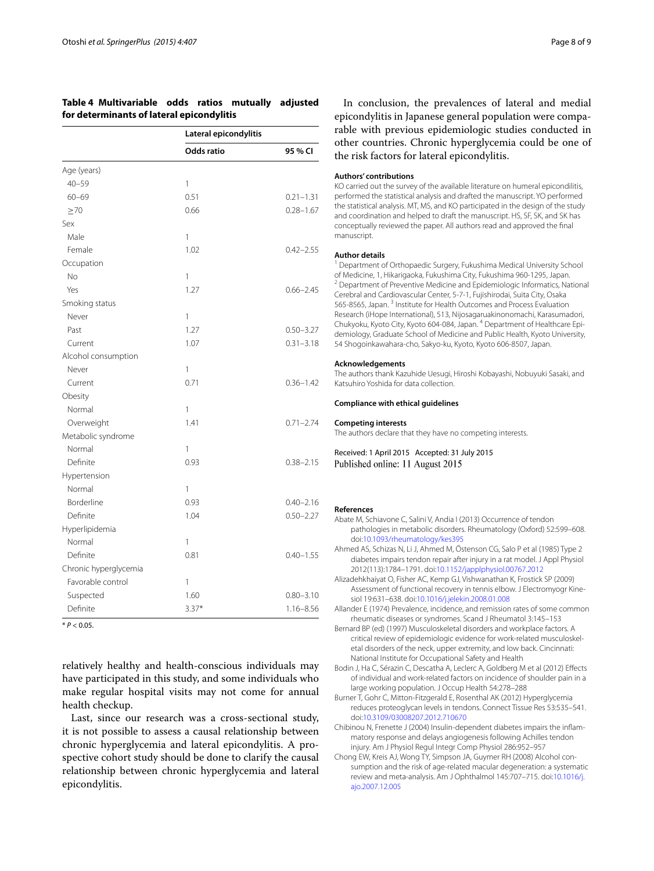## <span id="page-7-4"></span>**Table 4 Multivariable odds ratios mutually adjusted for determinants of lateral epicondylitis**

|                       | Lateral epicondylitis |               |
|-----------------------|-----------------------|---------------|
|                       | <b>Odds ratio</b>     | 95 % CI       |
| Age (years)           |                       |               |
| $40 - 59$             | 1                     |               |
| $60 - 69$             | 0.51                  | $0.21 - 1.31$ |
| $\geq 70$             | 0.66                  | $0.28 - 1.67$ |
| Sex                   |                       |               |
| Male                  | 1                     |               |
| Female                | 1.02                  | $0.42 - 2.55$ |
| Occupation            |                       |               |
| No                    | $\mathbf{1}$          |               |
| Yes                   | 1.27                  | $0.66 - 2.45$ |
| Smoking status        |                       |               |
| Never                 | $\mathbf{1}$          |               |
| Past                  | 1.27                  | $0.50 - 3.27$ |
| Current               | 1.07                  | $0.31 - 3.18$ |
| Alcohol consumption   |                       |               |
| Never                 | 1                     |               |
| Current               | 0.71                  | $0.36 - 1.42$ |
| Obesity               |                       |               |
| Normal                | 1                     |               |
| Overweight            | 1.41                  | $0.71 - 2.74$ |
| Metabolic syndrome    |                       |               |
| Normal                | 1                     |               |
| Definite              | 0.93                  | $0.38 - 2.15$ |
| Hypertension          |                       |               |
| Normal                | $\mathbf{1}$          |               |
| Borderline            | 0.93                  | $0.40 - 2.16$ |
| Definite              | 1.04                  | $0.50 - 2.27$ |
| Hyperlipidemia        |                       |               |
| Normal                | 1                     |               |
| Definite              | 0.81                  | $0.40 - 1.55$ |
| Chronic hyperglycemia |                       |               |
| Favorable control     | $\mathbf{1}$          |               |
| Suspected             | 1.60                  | $0.80 - 3.10$ |
| Definite              | $3.37*$               | $1.16 - 8.56$ |

 $* P < 0.05$ .

relatively healthy and health-conscious individuals may have participated in this study, and some individuals who make regular hospital visits may not come for annual health checkup.

Last, since our research was a cross-sectional study, it is not possible to assess a causal relationship between chronic hyperglycemia and lateral epicondylitis. A prospective cohort study should be done to clarify the causal relationship between chronic hyperglycemia and lateral epicondylitis.

In conclusion, the prevalences of lateral and medial epicondylitis in Japanese general population were comparable with previous epidemiologic studies conducted in other countries. Chronic hyperglycemia could be one of the risk factors for lateral epicondylitis.

#### **Authors' contributions**

KO carried out the survey of the available literature on humeral epicondilitis, performed the statistical analysis and drafted the manuscript. YO performed the statistical analysis. MT, MS, and KO participated in the design of the study and coordination and helped to draft the manuscript. HS, SF, SK, and SK has conceptually reviewed the paper. All authors read and approved the final manuscript.

#### **Author details**

<sup>1</sup> Department of Orthopaedic Surgery, Fukushima Medical University School of Medicine, 1, Hikarigaoka, Fukushima City, Fukushima 960-1295, Japan. 2 Department of Preventive Medicine and Epidemiologic Informatics, National Cerebral and Cardiovascular Center, 5-7-1, Fujishirodai, Suita City, Osaka 565-8565, Japan. <sup>3</sup> Institute for Health Outcomes and Process Evaluation Research (iHope International), 513, Nijosagaruakinonomachi, Karasumadori, Chukyoku, Kyoto City, Kyoto 604-084, Japan. 4 Department of Healthcare Epidemiology, Graduate School of Medicine and Public Health, Kyoto University, 54 Shogoinkawahara-cho, Sakyo-ku, Kyoto, Kyoto 606-8507, Japan.

#### **Acknowledgements**

The authors thank Kazuhide Uesugi, Hiroshi Kobayashi, Nobuyuki Sasaki, and Katsuhiro Yoshida for data collection.

#### **Compliance with ethical guidelines**

#### **Competing interests**

The authors declare that they have no competing interests.

Received: 1 April 2015 Accepted: 31 July 2015 Published online: 11 August 2015

#### **References**

- <span id="page-7-3"></span>Abate M, Schiavone C, Salini V, Andia I (2013) Occurrence of tendon pathologies in metabolic disorders. Rheumatology (Oxford) 52:599–608. doi:[10.1093/rheumatology/kes395](http://dx.doi.org/10.1093/rheumatology/kes395)
- <span id="page-7-8"></span>Ahmed AS, Schizas N, Li J, Ahmed M, Östenson CG, Salo P et al (1985) Type 2 diabetes impairs tendon repair after injury in a rat model. J Appl Physiol 2012(113):1784–1791. doi:[10.1152/japplphysiol.00767.2012](http://dx.doi.org/10.1152/japplphysiol.00767.2012)
- <span id="page-7-0"></span>Alizadehkhaiyat O, Fisher AC, Kemp GJ, Vishwanathan K, Frostick SP (2009) Assessment of functional recovery in tennis elbow. J Electromyogr Kinesiol 19:631–638. doi:[10.1016/j.jelekin.2008.01.008](http://dx.doi.org/10.1016/j.jelekin.2008.01.008)

<span id="page-7-5"></span>Allander E (1974) Prevalence, incidence, and remission rates of some common rheumatic diseases or syndromes. Scand J Rheumatol 3:145–153

- <span id="page-7-6"></span>Bernard BP (ed) (1997) Musculoskeletal disorders and workplace factors. A critical review of epidemiologic evidence for work-related musculoskeletal disorders of the neck, upper extremity, and low back. Cincinnati: National Institute for Occupational Safety and Health
- <span id="page-7-1"></span>Bodin J, Ha C, Sérazin C, Descatha A, Leclerc A, Goldberg M et al (2012) Effects of individual and work-related factors on incidence of shoulder pain in a large working population. J Occup Health 54:278–288
- <span id="page-7-9"></span>Burner T, Gohr C, Mitton-Fitzgerald E, Rosenthal AK (2012) Hyperglycemia reduces proteoglycan levels in tendons. Connect Tissue Res 53:535–541. doi:[10.3109/03008207.2012.710670](http://dx.doi.org/10.3109/03008207.2012.710670)
- <span id="page-7-7"></span>Chibinou N, Frenette J (2004) Insulin-dependent diabetes impairs the inflammatory response and delays angiogenesis following Achilles tendon injury. Am J Physiol Regul Integr Comp Physiol 286:952–957
- <span id="page-7-2"></span>Chong EW, Kreis AJ, Wong TY, Simpson JA, Guymer RH (2008) Alcohol consumption and the risk of age-related macular degeneration: a systematic review and meta-analysis. Am J Ophthalmol 145:707–715. doi[:10.1016/j.](http://dx.doi.org/10.1016/j.ajo.2007.12.005) [ajo.2007.12.005](http://dx.doi.org/10.1016/j.ajo.2007.12.005)